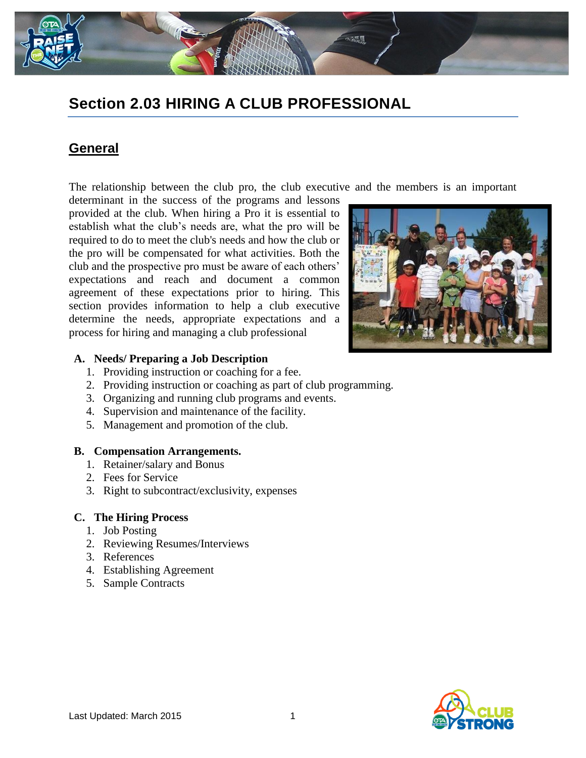

# **Section 2.03 HIRING A CLUB PROFESSIONAL**

#### **General**

The relationship between the club pro, the club executive and the members is an important

determinant in the success of the programs and lessons provided at the club. When hiring a Pro it is essential to establish what the club's needs are, what the pro will be required to do to meet the club's needs and how the club or the pro will be compensated for what activities. Both the club and the prospective pro must be aware of each others' expectations and reach and document a common agreement of these expectations prior to hiring. This section provides information to help a club executive determine the needs, appropriate expectations and a process for hiring and managing a club professional



#### **A. Needs/ Preparing a Job Description**

- 1. Providing instruction or coaching for a fee.
- 2. Providing instruction or coaching as part of club programming.
- 3. Organizing and running club programs and events.
- 4. Supervision and maintenance of the facility.
- 5. Management and promotion of the club.

#### **B. Compensation Arrangements.**

- 1. Retainer/salary and Bonus
- 2. Fees for Service
- 3. Right to subcontract/exclusivity, expenses

#### **C. The Hiring Process**

- 1. Job Posting
- 2. Reviewing Resumes/Interviews
- 3. References
- 4. Establishing Agreement
- 5. Sample Contracts

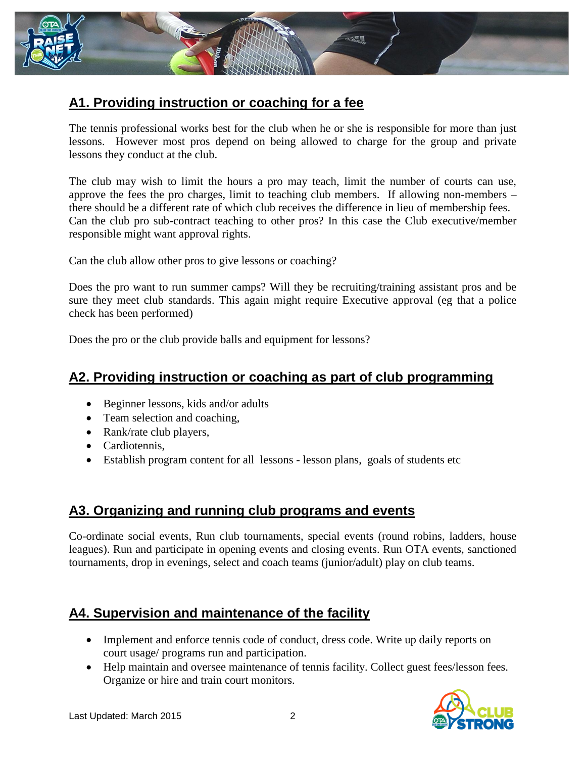

## **A1. Providing instruction or coaching for a fee**

The tennis professional works best for the club when he or she is responsible for more than just lessons. However most pros depend on being allowed to charge for the group and private lessons they conduct at the club.

The club may wish to limit the hours a pro may teach, limit the number of courts can use, approve the fees the pro charges, limit to teaching club members. If allowing non-members – there should be a different rate of which club receives the difference in lieu of membership fees. Can the club pro sub-contract teaching to other pros? In this case the Club executive/member responsible might want approval rights.

Can the club allow other pros to give lessons or coaching?

Does the pro want to run summer camps? Will they be recruiting/training assistant pros and be sure they meet club standards. This again might require Executive approval (eg that a police check has been performed)

Does the pro or the club provide balls and equipment for lessons?

#### **A2. Providing instruction or coaching as part of club programming**

- Beginner lessons, kids and/or adults
- Team selection and coaching,
- Rank/rate club players,
- Cardiotennis.
- Establish program content for all lessons lesson plans, goals of students etc

### **A3. Organizing and running club programs and events**

Co-ordinate social events, Run club tournaments, special events (round robins, ladders, house leagues). Run and participate in opening events and closing events. Run OTA events, sanctioned tournaments, drop in evenings, select and coach teams (junior/adult) play on club teams.

### **A4. Supervision and maintenance of the facility**

- Implement and enforce tennis code of conduct, dress code. Write up daily reports on court usage/ programs run and participation.
- Help maintain and oversee maintenance of tennis facility. Collect guest fees/lesson fees. Organize or hire and train court monitors.

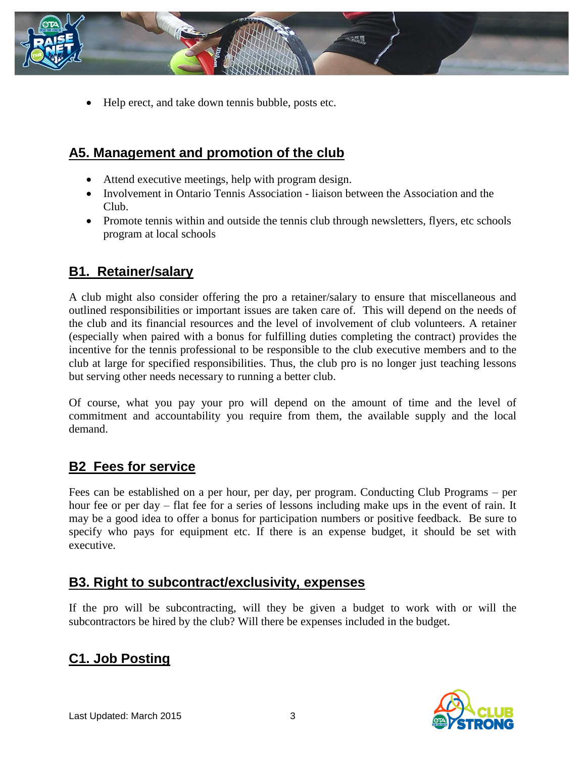

Help erect, and take down tennis bubble, posts etc.

# **A5. Management and promotion of the club**

- Attend executive meetings, help with program design.
- Involvement in Ontario Tennis Association liaison between the Association and the Club.
- Promote tennis within and outside the tennis club through newsletters, flyers, etc schools program at local schools

## **B1. Retainer/salary**

A club might also consider offering the pro a retainer/salary to ensure that miscellaneous and outlined responsibilities or important issues are taken care of. This will depend on the needs of the club and its financial resources and the level of involvement of club volunteers. A retainer (especially when paired with a bonus for fulfilling duties completing the contract) provides the incentive for the tennis professional to be responsible to the club executive members and to the club at large for specified responsibilities. Thus, the club pro is no longer just teaching lessons but serving other needs necessary to running a better club.

Of course, what you pay your pro will depend on the amount of time and the level of commitment and accountability you require from them, the available supply and the local demand.

### **B2 Fees for service**

Fees can be established on a per hour, per day, per program. Conducting Club Programs – per hour fee or per day – flat fee for a series of lessons including make ups in the event of rain. It may be a good idea to offer a bonus for participation numbers or positive feedback. Be sure to specify who pays for equipment etc. If there is an expense budget, it should be set with executive.

## **B3. Right to subcontract/exclusivity, expenses**

If the pro will be subcontracting, will they be given a budget to work with or will the subcontractors be hired by the club? Will there be expenses included in the budget.

# **C1. Job Posting**

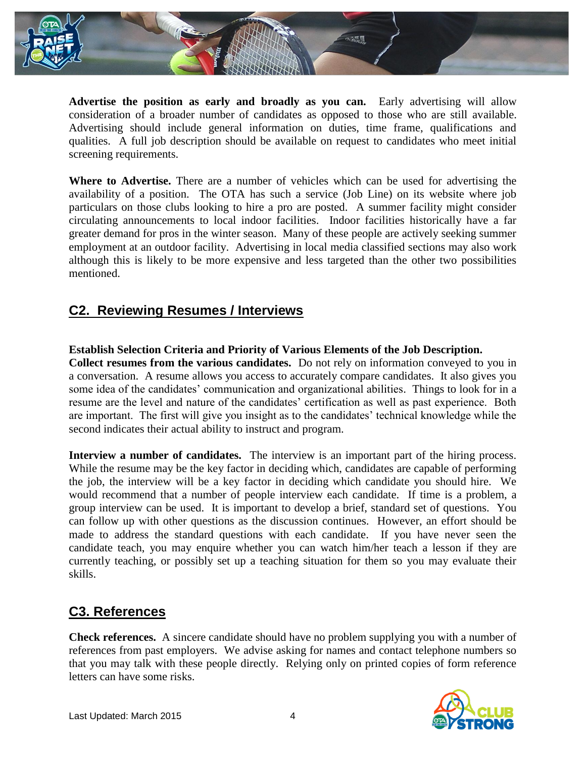

**Advertise the position as early and broadly as you can.** Early advertising will allow consideration of a broader number of candidates as opposed to those who are still available. Advertising should include general information on duties, time frame, qualifications and qualities. A full job description should be available on request to candidates who meet initial screening requirements.

**Where to Advertise.** There are a number of vehicles which can be used for advertising the availability of a position. The OTA has such a service (Job Line) on its website where job particulars on those clubs looking to hire a pro are posted. A summer facility might consider circulating announcements to local indoor facilities. Indoor facilities historically have a far greater demand for pros in the winter season. Many of these people are actively seeking summer employment at an outdoor facility. Advertising in local media classified sections may also work although this is likely to be more expensive and less targeted than the other two possibilities mentioned.

### **C2. Reviewing Resumes / Interviews**

#### **Establish Selection Criteria and Priority of Various Elements of the Job Description.**

**Collect resumes from the various candidates.** Do not rely on information conveyed to you in a conversation. A resume allows you access to accurately compare candidates. It also gives you some idea of the candidates' communication and organizational abilities. Things to look for in a resume are the level and nature of the candidates' certification as well as past experience. Both are important. The first will give you insight as to the candidates' technical knowledge while the second indicates their actual ability to instruct and program.

**Interview a number of candidates.** The interview is an important part of the hiring process. While the resume may be the key factor in deciding which, candidates are capable of performing the job, the interview will be a key factor in deciding which candidate you should hire. We would recommend that a number of people interview each candidate. If time is a problem, a group interview can be used. It is important to develop a brief, standard set of questions. You can follow up with other questions as the discussion continues. However, an effort should be made to address the standard questions with each candidate. If you have never seen the candidate teach, you may enquire whether you can watch him/her teach a lesson if they are currently teaching, or possibly set up a teaching situation for them so you may evaluate their skills.

# **C3. References**

**Check references.** A sincere candidate should have no problem supplying you with a number of references from past employers. We advise asking for names and contact telephone numbers so that you may talk with these people directly. Relying only on printed copies of form reference letters can have some risks.

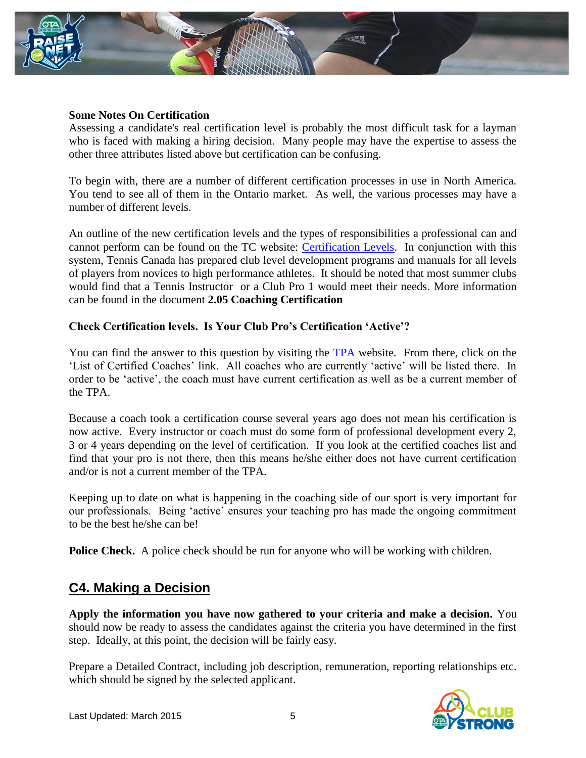

#### **Some Notes On Certification**

Assessing a candidate's real certification level is probably the most difficult task for a layman who is faced with making a hiring decision. Many people may have the expertise to assess the other three attributes listed above but certification can be confusing.

To begin with, there are a number of different certification processes in use in North America. You tend to see all of them in the Ontario market. As well, the various processes may have a number of different levels.

An outline of the new certification levels and the types of responsibilities a professional can and cannot perform can be found on the TC website: [Certification Levels.](http://www.tenniscanada.com/index.php?title=certification-levels&pid=190) In conjunction with this system, Tennis Canada has prepared club level development programs and manuals for all levels of players from novices to high performance athletes. It should be noted that most summer clubs would find that a Tennis Instructor or a Club Pro 1 would meet their needs. More information can be found in the document **2.05 Coaching Certification**

#### **Check Certification levels. Is Your Club Pro's Certification 'Active'?**

You can find the answer to this question by visiting the [TPA](http://www.tpacanada.com/coaching_in_canada/certified_coach_list/list_certified_coaches/ON) website. From there, click on the 'List of Certified Coaches' link. All coaches who are currently 'active' will be listed there. In order to be 'active', the coach must have current certification as well as be a current member of the TPA.

Because a coach took a certification course several years ago does not mean his certification is now active. Every instructor or coach must do some form of professional development every 2, 3 or 4 years depending on the level of certification. If you look at the certified coaches list and find that your pro is not there, then this means he/she either does not have current certification and/or is not a current member of the TPA.

Keeping up to date on what is happening in the coaching side of our sport is very important for our professionals. Being 'active' ensures your teaching pro has made the ongoing commitment to be the best he/she can be!

**Police Check.** A police check should be run for anyone who will be working with children.

### **C4. Making a Decision**

**Apply the information you have now gathered to your criteria and make a decision.** You should now be ready to assess the candidates against the criteria you have determined in the first step. Ideally, at this point, the decision will be fairly easy.

Prepare a Detailed Contract, including job description, remuneration, reporting relationships etc. which should be signed by the selected applicant.